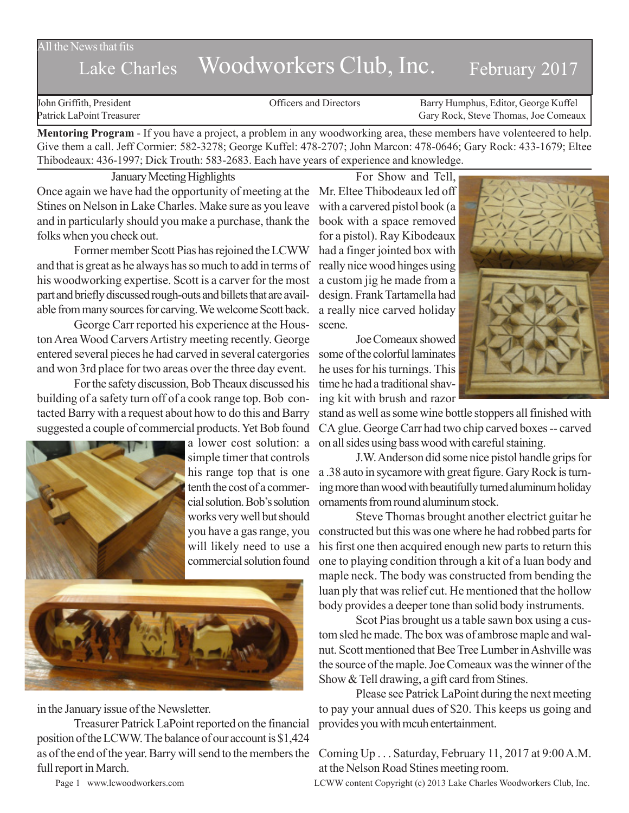All the News that fits

## Lake Charles Woodworkers Club, Inc. February 2017

John Griffith, President Officers and Directors Barry Humphus, Editor, George Kuffel Patrick LaPoint Treasurer Gary Rock, Steve Thomas, Joe Comeaux

**Mentoring Program** - If you have a project, a problem in any woodworking area, these members have volenteered to help. Give them a call. Jeff Cormier: 582-3278; George Kuffel: 478-2707; John Marcon: 478-0646; Gary Rock: 433-1679; Eltee Thibodeaux: 436-1997; Dick Trouth: 583-2683. Each have years of experience and knowledge.

January Meeting Highlights Once again we have had the opportunity of meeting at the Mr. Eltee Thibodeaux led off Stines on Nelson in Lake Charles. Make sure as you leave and in particularly should you make a purchase, thank the book with a space removed folks when you check out.

Former member Scott Pias has rejoined the LCWW and that is great as he always has so much to add in terms of his woodworking expertise. Scott is a carver for the most part and briefly discussed rough-outs and billets that are available from many sources for carving. We welcome Scott back.

George Carr reported his experience at the Houston Area Wood Carvers Artistry meeting recently. George entered several pieces he had carved in several catergories and won 3rd place for two areas over the three day event.

For the safety discussion, Bob Theaux discussed his building of a safety turn off of a cook range top. Bob contacted Barry with a request about how to do this and Barry suggested a couple of commercial products. Yet Bob found



a lower cost solution: a simple timer that controls his range top that is one tenth the cost of a commercial solution. Bob's solution works very well but should you have a gas range, you will likely need to use a commercial solution found



in the January issue of the Newsletter.

Treasurer Patrick LaPoint reported on the financial position of the LCWW. The balance of our account is \$1,424 as of the end of the year. Barry will send to the members the full report in March.

For Show and Tell, with a carvered pistol book (a for a pistol). Ray Kibodeaux had a finger jointed box with really nice wood hinges using a custom jig he made from a design. Frank Tartamella had a really nice carved holiday scene.

Joe Comeaux showed some of the colorful laminates he uses for his turnings. This time he had a traditional shaving kit with brush and razor



stand as well as some wine bottle stoppers all finished with CA glue. George Carr had two chip carved boxes -- carved on all sides using bass wood with careful staining.

J.W. Anderson did some nice pistol handle grips for a .38 auto in sycamore with great figure. Gary Rock is turning more than wood with beautifully turned aluminum holiday ornaments from round aluminum stock.

Steve Thomas brought another electrict guitar he constructed but this was one where he had robbed parts for his first one then acquired enough new parts to return this one to playing condition through a kit of a luan body and maple neck. The body was constructed from bending the luan ply that was relief cut. He mentioned that the hollow body provides a deeper tone than solid body instruments.

Scot Pias brought us a table sawn box using a custom sled he made. The box was of ambrose maple and walnut. Scott mentioned that Bee Tree Lumber in Ashville was the source of the maple. Joe Comeaux was the winner of the Show & Tell drawing, a gift card from Stines.

Please see Patrick LaPoint during the next meeting to pay your annual dues of \$20. This keeps us going and provides you with mcuh entertainment.

Coming Up . . . Saturday, February 11, 2017 at 9:00 A.M. at the Nelson Road Stines meeting room.

Page 1 www.lcwoodworkers.com LCWW content Copyright (c) 2013 Lake Charles Woodworkers Club, Inc.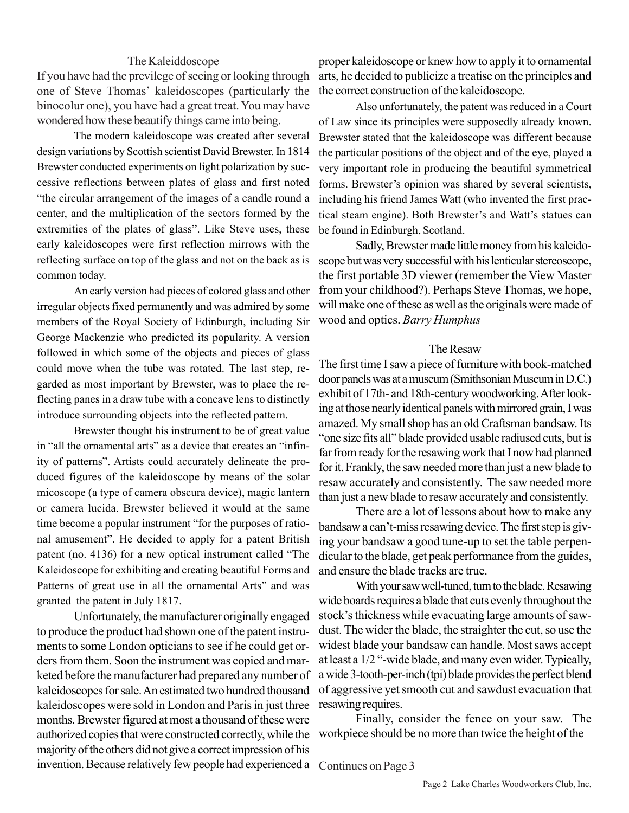## The Kaleiddoscope

If you have had the previlege of seeing or looking through one of Steve Thomas' kaleidoscopes (particularly the binocolur one), you have had a great treat. You may have wondered how these beautify things came into being.

The modern kaleidoscope was created after several design variations by Scottish scientist David Brewster. In 1814 Brewster conducted experiments on light polarization by successive reflections between plates of glass and first noted "the circular arrangement of the images of a candle round a center, and the multiplication of the sectors formed by the extremities of the plates of glass". Like Steve uses, these early kaleidoscopes were first reflection mirrows with the reflecting surface on top of the glass and not on the back as is common today.

An early version had pieces of colored glass and other irregular objects fixed permanently and was admired by some members of the Royal Society of Edinburgh, including Sir George Mackenzie who predicted its popularity. A version followed in which some of the objects and pieces of glass could move when the tube was rotated. The last step, regarded as most important by Brewster, was to place the reflecting panes in a draw tube with a concave lens to distinctly introduce surrounding objects into the reflected pattern.

Brewster thought his instrument to be of great value in "all the ornamental arts" as a device that creates an "infinity of patterns". Artists could accurately delineate the produced figures of the kaleidoscope by means of the solar micoscope (a type of camera obscura device), magic lantern or camera lucida. Brewster believed it would at the same time become a popular instrument "for the purposes of rational amusement". He decided to apply for a patent British patent (no. 4136) for a new optical instrument called "The Kaleidoscope for exhibiting and creating beautiful Forms and Patterns of great use in all the ornamental Arts" and was granted the patent in July 1817.

Unfortunately, the manufacturer originally engaged to produce the product had shown one of the patent instruments to some London opticians to see if he could get orders from them. Soon the instrument was copied and marketed before the manufacturer had prepared any number of kaleidoscopes for sale. An estimated two hundred thousand kaleidoscopes were sold in London and Paris in just three months. Brewster figured at most a thousand of these were authorized copies that were constructed correctly, while the majority of the others did not give a correct impression of his invention. Because relatively few people had experienced a Continues on Page 3

proper kaleidoscope or knew how to apply it to ornamental arts, he decided to publicize a treatise on the principles and the correct construction of the kaleidoscope.

Also unfortunately, the patent was reduced in a Court of Law since its principles were supposedly already known. Brewster stated that the kaleidoscope was different because the particular positions of the object and of the eye, played a very important role in producing the beautiful symmetrical forms. Brewster's opinion was shared by several scientists, including his friend James Watt (who invented the first practical steam engine). Both Brewster's and Watt's statues can be found in Edinburgh, Scotland.

Sadly, Brewster made little money from his kaleidoscope but was very successful with his lenticular stereoscope, the first portable 3D viewer (remember the View Master from your childhood?). Perhaps Steve Thomas, we hope, will make one of these as well as the originals were made of wood and optics. *Barry Humphus*

## The Resaw

The first time I saw a piece of furniture with book-matched door panels was at a museum (Smithsonian Museum in D.C.) exhibit of 17th- and 18th-century woodworking. After looking at those nearly identical panels with mirrored grain, I was amazed. My small shop has an old Craftsman bandsaw. Its "one size fits all" blade provided usable radiused cuts, but is far from ready for the resawing work that I now had planned for it. Frankly, the saw needed more than just a new blade to resaw accurately and consistently. The saw needed more than just a new blade to resaw accurately and consistently.

There are a lot of lessons about how to make any bandsaw a can't-miss resawing device. The first step is giving your bandsaw a good tune-up to set the table perpendicular to the blade, get peak performance from the guides, and ensure the blade tracks are true.

With your saw well-tuned, turn to the blade. Resawing wide boards requires a blade that cuts evenly throughout the stock's thickness while evacuating large amounts of sawdust. The wider the blade, the straighter the cut, so use the widest blade your bandsaw can handle. Most saws accept at least a 1/2 "-wide blade, and many even wider. Typically, a wide 3-tooth-per-inch (tpi) blade provides the perfect blend of aggressive yet smooth cut and sawdust evacuation that resawing requires.

Finally, consider the fence on your saw. The workpiece should be no more than twice the height of the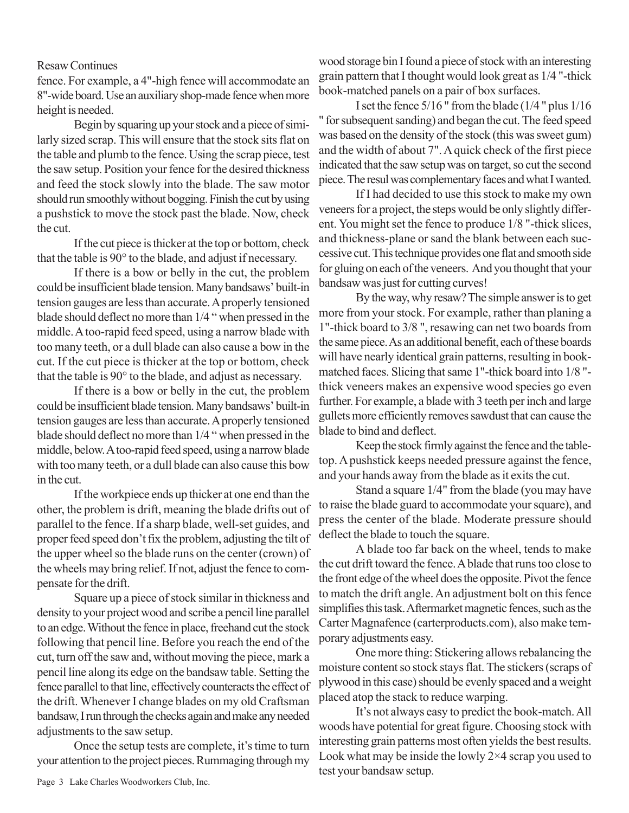## Resaw Continues

fence. For example, a 4"-high fence will accommodate an 8"-wide board. Use an auxiliary shop-made fence when more height is needed.

Begin by squaring up your stock and a piece of similarly sized scrap. This will ensure that the stock sits flat on the table and plumb to the fence. Using the scrap piece, test the saw setup. Position your fence for the desired thickness and feed the stock slowly into the blade. The saw motor should run smoothly without bogging. Finish the cut by using a pushstick to move the stock past the blade. Now, check the cut.

If the cut piece is thicker at the top or bottom, check that the table is 90° to the blade, and adjust if necessary.

If there is a bow or belly in the cut, the problem could be insufficient blade tension. Many bandsaws' built-in tension gauges are less than accurate. A properly tensioned blade should deflect no more than 1/4 " when pressed in the middle. A too-rapid feed speed, using a narrow blade with too many teeth, or a dull blade can also cause a bow in the cut. If the cut piece is thicker at the top or bottom, check that the table is 90° to the blade, and adjust as necessary.

If there is a bow or belly in the cut, the problem could be insufficient blade tension. Many bandsaws' built-in tension gauges are less than accurate. A properly tensioned blade should deflect no more than 1/4 " when pressed in the middle, below. A too-rapid feed speed, using a narrow blade with too many teeth, or a dull blade can also cause this bow in the cut.

If the workpiece ends up thicker at one end than the other, the problem is drift, meaning the blade drifts out of parallel to the fence. If a sharp blade, well-set guides, and proper feed speed don't fix the problem, adjusting the tilt of the upper wheel so the blade runs on the center (crown) of the wheels may bring relief. If not, adjust the fence to compensate for the drift.

Square up a piece of stock similar in thickness and density to your project wood and scribe a pencil line parallel to an edge. Without the fence in place, freehand cut the stock following that pencil line. Before you reach the end of the cut, turn off the saw and, without moving the piece, mark a pencil line along its edge on the bandsaw table. Setting the fence parallel to that line, effectively counteracts the effect of the drift. Whenever I change blades on my old Craftsman bandsaw, I run through the checks again and make any needed adjustments to the saw setup.

Once the setup tests are complete, it's time to turn your attention to the project pieces. Rummaging through my

wood storage bin I found a piece of stock with an interesting grain pattern that I thought would look great as 1/4 "-thick book-matched panels on a pair of box surfaces.

I set the fence 5/16 " from the blade (1/4 " plus 1/16 " for subsequent sanding) and began the cut. The feed speed was based on the density of the stock (this was sweet gum) and the width of about 7". A quick check of the first piece indicated that the saw setup was on target, so cut the second piece. The resul was complementary faces and what I wanted.

If I had decided to use this stock to make my own veneers for a project, the steps would be only slightly different. You might set the fence to produce 1/8 "-thick slices, and thickness-plane or sand the blank between each successive cut. This technique provides one flat and smooth side for gluing on each of the veneers. And you thought that your bandsaw was just for cutting curves!

By the way, why resaw? The simple answer is to get more from your stock. For example, rather than planing a 1"-thick board to 3/8 ", resawing can net two boards from the same piece. As an additional benefit, each of these boards will have nearly identical grain patterns, resulting in bookmatched faces. Slicing that same 1"-thick board into 1/8 " thick veneers makes an expensive wood species go even further. For example, a blade with 3 teeth per inch and large gullets more efficiently removes sawdust that can cause the blade to bind and deflect.

Keep the stock firmly against the fence and the tabletop. A pushstick keeps needed pressure against the fence, and your hands away from the blade as it exits the cut.

Stand a square 1/4" from the blade (you may have to raise the blade guard to accommodate your square), and press the center of the blade. Moderate pressure should deflect the blade to touch the square.

A blade too far back on the wheel, tends to make the cut drift toward the fence. A blade that runs too close to the front edge of the wheel does the opposite. Pivot the fence to match the drift angle. An adjustment bolt on this fence simplifies this task. Aftermarket magnetic fences, such as the Carter Magnafence (carterproducts.com), also make temporary adjustments easy.

One more thing: Stickering allows rebalancing the moisture content so stock stays flat. The stickers (scraps of plywood in this case) should be evenly spaced and a weight placed atop the stack to reduce warping.

It's not always easy to predict the book-match. All woods have potential for great figure. Choosing stock with interesting grain patterns most often yields the best results. Look what may be inside the lowly  $2\times 4$  scrap you used to test your bandsaw setup.